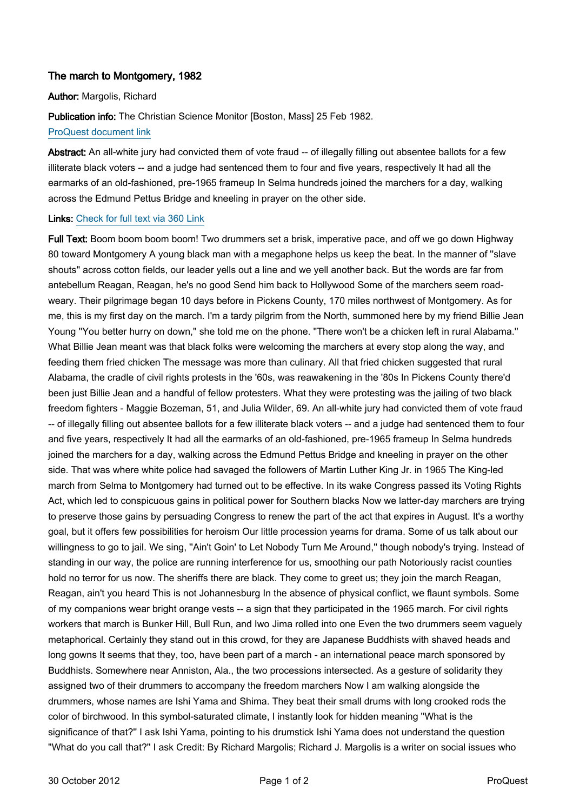## The march to Montgomery, 1982

## Author: Margolis, Richard

Publication info: The Christian Science Monitor [Boston, Mass] 25 Feb 1982.

## [ProQuest document link](http://ezproxy.lib.uconn.edu/login?url=http://search.proquest.com/docview/1038431401?accountid=14518)

Abstract: An all-white jury had convicted them of vote fraud -- of illegally filling out absentee ballots for a few illiterate black voters -- and a judge had sentenced them to four and five years, respectively It had all the earmarks of an old-fashioned, pre-1965 frameup In Selma hundreds joined the marchers for a day, walking across the Edmund Pettus Bridge and kneeling in prayer on the other side.

## Links: [Check for full text via 360 Link](http://TK8NJ5XN8A.search.serialssolutions.com/?ctx_ver=Z39.88-2004&ctx_enc=info:ofi/enc:UTF-8&rfr_id=info:sid/ProQ:christiansciencemonitor&rft_val_fmt=info:ofi/fmt:kev:mtx:journal&rft.genre=unknown&rft.jtitle=The%20Christian%20Science%20Monitor&rft.atitle=The%20march%20to%20Montgomery,%201982&rft.au=Margolis,%20Richard&rft.aulast=Margolis&rft.aufirst=Richard&rft.date=1982-02-25&rft.volume=&rft.issue=&rft.spage=&rft.isbn=&rft.btitle=&rft.title=The%20Christian%20Science%20Monitor&rft.issn=08827729)

Full Text: Boom boom boom boom! Two drummers set a brisk, imperative pace, and off we go down Highway 80 toward Montgomery A young black man with a megaphone helps us keep the beat. In the manner of ''slave shouts'' across cotton fields, our leader yells out a line and we yell another back. But the words are far from antebellum Reagan, Reagan, he's no good Send him back to Hollywood Some of the marchers seem roadweary. Their pilgrimage began 10 days before in Pickens County, 170 miles northwest of Montgomery. As for me, this is my first day on the march. I'm a tardy pilgrim from the North, summoned here by my friend Billie Jean Young "You better hurry on down," she told me on the phone. "There won't be a chicken left in rural Alabama." What Billie Jean meant was that black folks were welcoming the marchers at every stop along the way, and feeding them fried chicken The message was more than culinary. All that fried chicken suggested that rural Alabama, the cradle of civil rights protests in the '60s, was reawakening in the '80s In Pickens County there'd been just Billie Jean and a handful of fellow protesters. What they were protesting was the jailing of two black freedom fighters - Maggie Bozeman, 51, and Julia Wilder, 69. An all-white jury had convicted them of vote fraud -- of illegally filling out absentee ballots for a few illiterate black voters -- and a judge had sentenced them to four and five years, respectively It had all the earmarks of an old-fashioned, pre-1965 frameup In Selma hundreds joined the marchers for a day, walking across the Edmund Pettus Bridge and kneeling in prayer on the other side. That was where white police had savaged the followers of Martin Luther King Jr. in 1965 The King-led march from Selma to Montgomery had turned out to be effective. In its wake Congress passed its Voting Rights Act, which led to conspicuous gains in political power for Southern blacks Now we latter-day marchers are trying to preserve those gains by persuading Congress to renew the part of the act that expires in August. It's a worthy goal, but it offers few possibilities for heroism Our little procession yearns for drama. Some of us talk about our willingness to go to jail. We sing, ''Ain't Goin' to Let Nobody Turn Me Around,'' though nobody's trying. Instead of standing in our way, the police are running interference for us, smoothing our path Notoriously racist counties hold no terror for us now. The sheriffs there are black. They come to greet us; they join the march Reagan, Reagan, ain't you heard This is not Johannesburg In the absence of physical conflict, we flaunt symbols. Some of my companions wear bright orange vests -- a sign that they participated in the 1965 march. For civil rights workers that march is Bunker Hill, Bull Run, and Iwo Jima rolled into one Even the two drummers seem vaguely metaphorical. Certainly they stand out in this crowd, for they are Japanese Buddhists with shaved heads and long gowns It seems that they, too, have been part of a march - an international peace march sponsored by Buddhists. Somewhere near Anniston, Ala., the two processions intersected. As a gesture of solidarity they assigned two of their drummers to accompany the freedom marchers Now I am walking alongside the drummers, whose names are Ishi Yama and Shima. They beat their small drums with long crooked rods the color of birchwood. In this symbol-saturated climate, I instantly look for hidden meaning ''What is the significance of that?'' I ask Ishi Yama, pointing to his drumstick Ishi Yama does not understand the question ''What do you call that?'' I ask Credit: By Richard Margolis; Richard J. Margolis is a writer on social issues who